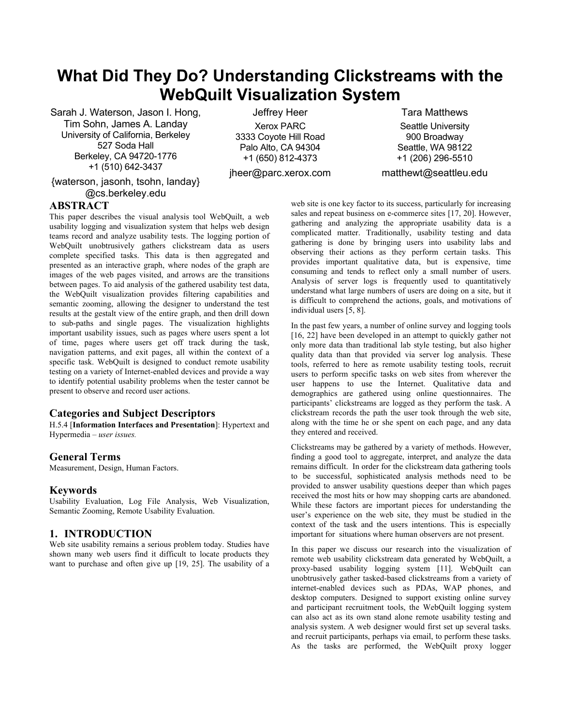# **What Did They Do? Understanding Clickstreams with the WebQuilt Visualization System**

Sarah J. Waterson, Jason I. Hong, Tim Sohn, James A. Landay University of California, Berkeley 527 Soda Hall Berkeley, CA 94720-1776 +1 (510) 642-3437

{waterson, jasonh, tsohn, landay} @cs.berkeley.edu

Jeffrey Heer Xerox PARC 3333 Coyote Hill Road Palo Alto, CA 94304

+1 (650) 812-4373 jheer@parc.xerox.com

Tara Matthews Seattle University 900 Broadway Seattle, WA 98122 +1 (206) 296-5510

matthewt@seattleu.edu

## **ABSTRACT**

This paper describes the visual analysis tool WebQuilt, a web usability logging and visualization system that helps web design teams record and analyze usability tests. The logging portion of WebQuilt unobtrusively gathers clickstream data as users complete specified tasks. This data is then aggregated and presented as an interactive graph, where nodes of the graph are images of the web pages visited, and arrows are the transitions between pages. To aid analysis of the gathered usability test data, the WebQuilt visualization provides filtering capabilities and semantic zooming, allowing the designer to understand the test results at the gestalt view of the entire graph, and then drill down to sub-paths and single pages. The visualization highlights important usability issues, such as pages where users spent a lot of time, pages where users get off track during the task, navigation patterns, and exit pages, all within the context of a specific task. WebQuilt is designed to conduct remote usability testing on a variety of Internet-enabled devices and provide a way to identify potential usability problems when the tester cannot be present to observe and record user actions.

## **Categories and Subject Descriptors**

H.5.4 [**Information Interfaces and Presentation**]: Hypertext and Hypermedia – *user issues.* 

## **General Terms**

Measurement, Design, Human Factors.

## **Keywords**

Usability Evaluation, Log File Analysis, Web Visualization, Semantic Zooming, Remote Usability Evaluation.

## **1. INTRODUCTION**

Web site usability remains a serious problem today. Studies have shown many web users find it difficult to locate products they want to purchase and often give up [19, 25]. The usability of a

web site is one key factor to its success, particularly for increasing sales and repeat business on e-commerce sites [17, 20]. However, gathering and analyzing the appropriate usability data is a complicated matter. Traditionally, usability testing and data gathering is done by bringing users into usability labs and observing their actions as they perform certain tasks. This provides important qualitative data, but is expensive, time consuming and tends to reflect only a small number of users. Analysis of server logs is frequently used to quantitatively understand what large numbers of users are doing on a site, but it is difficult to comprehend the actions, goals, and motivations of individual users [5, 8].

In the past few years, a number of online survey and logging tools [16, 22] have been developed in an attempt to quickly gather not only more data than traditional lab style testing, but also higher quality data than that provided via server log analysis. These tools, referred to here as remote usability testing tools, recruit users to perform specific tasks on web sites from wherever the user happens to use the Internet. Qualitative data and demographics are gathered using online questionnaires. The participants' clickstreams are logged as they perform the task. A clickstream records the path the user took through the web site, along with the time he or she spent on each page, and any data they entered and received.

Clickstreams may be gathered by a variety of methods. However, finding a good tool to aggregate, interpret, and analyze the data remains difficult. In order for the clickstream data gathering tools to be successful, sophisticated analysis methods need to be provided to answer usability questions deeper than which pages received the most hits or how may shopping carts are abandoned. While these factors are important pieces for understanding the user's experience on the web site, they must be studied in the context of the task and the users intentions. This is especially important for situations where human observers are not present.

In this paper we discuss our research into the visualization of remote web usability clickstream data generated by WebQuilt, a proxy-based usability logging system [11]. WebQuilt can unobtrusively gather tasked-based clickstreams from a variety of internet-enabled devices such as PDAs, WAP phones, and desktop computers. Designed to support existing online survey and participant recruitment tools, the WebQuilt logging system can also act as its own stand alone remote usability testing and analysis system. A web designer would first set up several tasks. and recruit participants, perhaps via email, to perform these tasks. As the tasks are performed, the WebQuilt proxy logger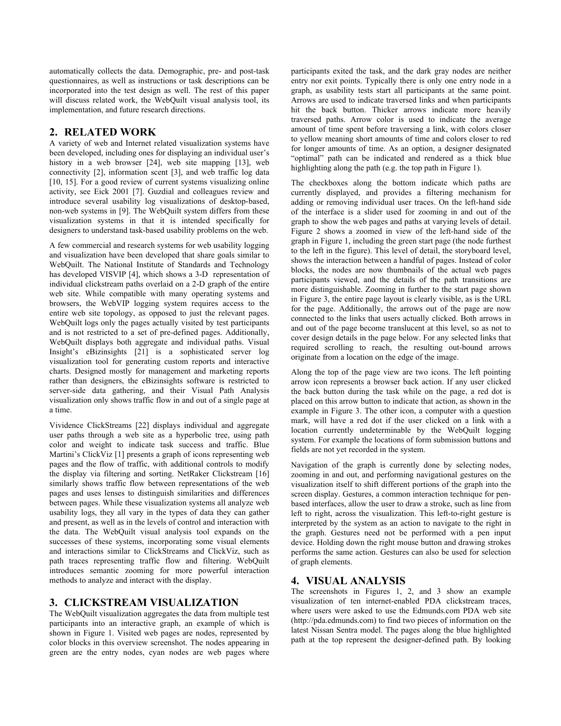automatically collects the data. Demographic, pre- and post-task questionnaires, as well as instructions or task descriptions can be incorporated into the test design as well. The rest of this paper will discuss related work, the WebQuilt visual analysis tool, its implementation, and future research directions.

# **2. RELATED WORK**

A variety of web and Internet related visualization systems have been developed, including ones for displaying an individual user's history in a web browser [24], web site mapping [13], web connectivity [2], information scent [3], and web traffic log data [10, 15]. For a good review of current systems visualizing online activity, see Eick 2001 [7]. Guzdial and colleagues review and introduce several usability log visualizations of desktop-based, non-web systems in [9]. The WebQuilt system differs from these visualization systems in that it is intended specifically for designers to understand task-based usability problems on the web.

A few commercial and research systems for web usability logging and visualization have been developed that share goals similar to WebQuilt. The National Institute of Standards and Technology has developed VISVIP [4], which shows a 3-D representation of individual clickstream paths overlaid on a 2-D graph of the entire web site. While compatible with many operating systems and browsers, the WebVIP logging system requires access to the entire web site topology, as opposed to just the relevant pages. WebQuilt logs only the pages actually visited by test participants and is not restricted to a set of pre-defined pages. Additionally, WebQuilt displays both aggregate and individual paths. Visual Insight's eBizinsights [21] is a sophisticated server log visualization tool for generating custom reports and interactive charts. Designed mostly for management and marketing reports rather than designers, the eBizinsights software is restricted to server-side data gathering, and their Visual Path Analysis visualization only shows traffic flow in and out of a single page at a time.

Vividence ClickStreams [22] displays individual and aggregate user paths through a web site as a hyperbolic tree, using path color and weight to indicate task success and traffic. Blue Martini's ClickViz [1] presents a graph of icons representing web pages and the flow of traffic, with additional controls to modify the display via filtering and sorting. NetRaker Clickstream [16] similarly shows traffic flow between representations of the web pages and uses lenses to distinguish similarities and differences between pages. While these visualization systems all analyze web usability logs, they all vary in the types of data they can gather and present, as well as in the levels of control and interaction with the data. The WebQuilt visual analysis tool expands on the successes of these systems, incorporating some visual elements and interactions similar to ClickStreams and ClickViz, such as path traces representing traffic flow and filtering. WebQuilt introduces semantic zooming for more powerful interaction methods to analyze and interact with the display.

## **3. CLICKSTREAM VISUALIZATION**

The WebQuilt visualization aggregates the data from multiple test participants into an interactive graph, an example of which is shown in Figure 1. Visited web pages are nodes, represented by color blocks in this overview screenshot. The nodes appearing in green are the entry nodes, cyan nodes are web pages where

participants exited the task, and the dark gray nodes are neither entry nor exit points. Typically there is only one entry node in a graph, as usability tests start all participants at the same point. Arrows are used to indicate traversed links and when participants hit the back button. Thicker arrows indicate more heavily traversed paths. Arrow color is used to indicate the average amount of time spent before traversing a link, with colors closer to yellow meaning short amounts of time and colors closer to red for longer amounts of time. As an option, a designer designated "optimal" path can be indicated and rendered as a thick blue highlighting along the path (e.g. the top path in Figure 1).

The checkboxes along the bottom indicate which paths are currently displayed, and provides a filtering mechanism for adding or removing individual user traces. On the left-hand side of the interface is a slider used for zooming in and out of the graph to show the web pages and paths at varying levels of detail. Figure 2 shows a zoomed in view of the left-hand side of the graph in Figure 1, including the green start page (the node furthest to the left in the figure). This level of detail, the storyboard level, shows the interaction between a handful of pages. Instead of color blocks, the nodes are now thumbnails of the actual web pages participants viewed, and the details of the path transitions are more distinguishable. Zooming in further to the start page shown in Figure 3, the entire page layout is clearly visible, as is the URL for the page. Additionally, the arrows out of the page are now connected to the links that users actually clicked. Both arrows in and out of the page become translucent at this level, so as not to cover design details in the page below. For any selected links that required scrolling to reach, the resulting out-bound arrows originate from a location on the edge of the image.

Along the top of the page view are two icons. The left pointing arrow icon represents a browser back action. If any user clicked the back button during the task while on the page, a red dot is placed on this arrow button to indicate that action, as shown in the example in Figure 3. The other icon, a computer with a question mark, will have a red dot if the user clicked on a link with a location currently undeterminable by the WebQuilt logging system. For example the locations of form submission buttons and fields are not yet recorded in the system.

Navigation of the graph is currently done by selecting nodes, zooming in and out, and performing navigational gestures on the visualization itself to shift different portions of the graph into the screen display. Gestures, a common interaction technique for penbased interfaces, allow the user to draw a stroke, such as line from left to right, across the visualization. This left-to-right gesture is interpreted by the system as an action to navigate to the right in the graph. Gestures need not be performed with a pen input device. Holding down the right mouse button and drawing strokes performs the same action. Gestures can also be used for selection of graph elements.

## **4. VISUAL ANALYSIS**

The screenshots in Figures 1, 2, and 3 show an example visualization of ten internet-enabled PDA clickstream traces, where users were asked to use the Edmunds.com PDA web site (http://pda.edmunds.com) to find two pieces of information on the latest Nissan Sentra model. The pages along the blue highlighted path at the top represent the designer-defined path. By looking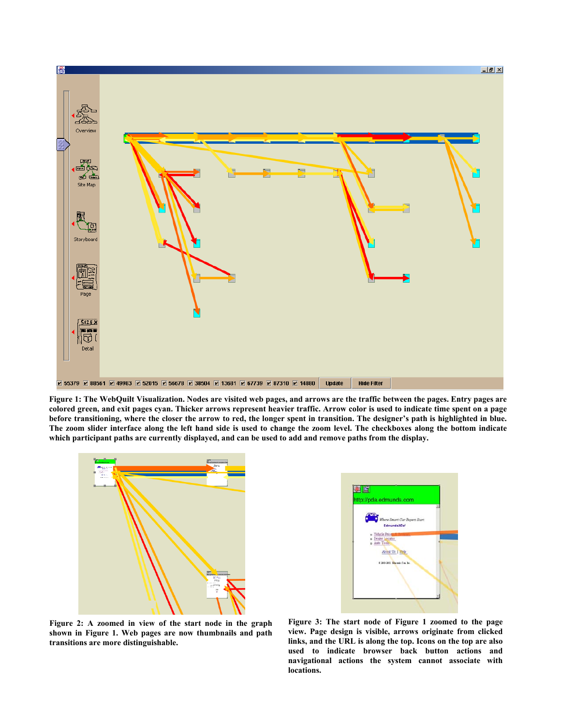

**Figure 1: The WebQuilt Visualization. Nodes are visited web pages, and arrows are the traffic between the pages. Entry pages are colored green, and exit pages cyan. Thicker arrows represent heavier traffic. Arrow color is used to indicate time spent on a page before transitioning, where the closer the arrow to red, the longer spent in transition. The designer's path is highlighted in blue. The zoom slider interface along the left hand side is used to change the zoom level. The checkboxes along the bottom indicate which participant paths are currently displayed, and can be used to add and remove paths from the display.** 





**Figure 2: A zoomed in view of the start node in the graph shown in Figure 1. Web pages are now thumbnails and path transitions are more distinguishable.** 

**Figure 3: The start node of Figure 1 zoomed to the page view. Page design is visible, arrows originate from clicked links, and the URL is along the top. Icons on the top are also used to indicate browser back button actions and navigational actions the system cannot associate with locations.**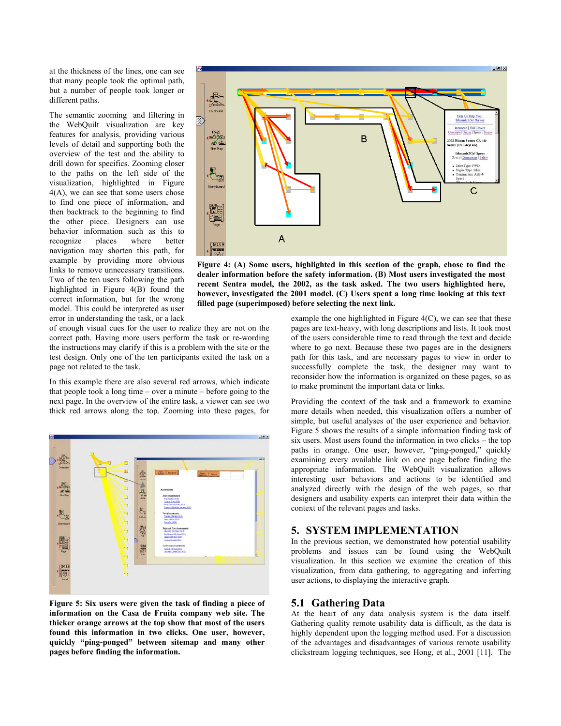at the thickness of the lines, one can see that many people took the optimal path, but a number of people took longer or different paths.

The semantic zooming and filtering in the WebQuilt visualization are key features for analysis, providing various levels of detail and supporting both the overview of the test and the ability to drill down for specifics. Zooming closer to the paths on the left side of the visualization, highlighted in Figure 4(A), we can see that some users chose to find one piece of information, and then backtrack to the beginning to find the other piece. Designers can use behavior information such as this to recognize places where better navigation may shorten this path, for example by providing more obvious links to remove unnecessary transitions. Two of the ten users following the path highlighted in Figure 4(B) found the correct information, but for the wrong model. This could be interpreted as user error in understanding the task, or a lack



**Figure 4: (A) Some users, highlighted in this section of the graph, chose to find the dealer information before the safety information. (B) Most users investigated the most recent Sentra model, the 2002, as the task asked. The two users highlighted here, however, investigated the 2001 model. (C) Users spent a long time looking at this text filled page (superimposed) before selecting the next link.** 

of enough visual cues for the user to realize they are not on the correct path. Having more users perform the task or re-wording the instructions may clarify if this is a problem with the site or the test design. Only one of the ten participants exited the task on a page not related to the task.

In this example there are also several red arrows, which indicate that people took a long time – over a minute – before going to the next page. In the overview of the entire task, a viewer can see two thick red arrows along the top. Zooming into these pages, for



**Figure 5: Six users were given the task of finding a piece of information on the Casa de Fruita company web site. The thicker orange arrows at the top show that most of the users found this information in two clicks. One user, however, quickly "ping-ponged" between sitemap and many other pages before finding the information.**

example the one highlighted in Figure 4(C), we can see that these pages are text-heavy, with long descriptions and lists. It took most of the users considerable time to read through the text and decide where to go next. Because these two pages are in the designers path for this task, and are necessary pages to view in order to successfully complete the task, the designer may want to reconsider how the information is organized on these pages, so as to make prominent the important data or links.

Providing the context of the task and a framework to examine more details when needed, this visualization offers a number of simple, but useful analyses of the user experience and behavior. Figure 5 shows the results of a simple information finding task of six users. Most users found the information in two clicks – the top paths in orange. One user, however, "ping-ponged," quickly examining every available link on one page before finding the appropriate information. The WebQuilt visualization allows interesting user behaviors and actions to be identified and analyzed directly with the design of the web pages, so that designers and usability experts can interpret their data within the context of the relevant pages and tasks.

# **5. SYSTEM IMPLEMENTATION**

In the previous section, we demonstrated how potential usability problems and issues can be found using the WebQuilt visualization. In this section we examine the creation of this visualization, from data gathering, to aggregating and inferring user actions, to displaying the interactive graph.

## **5.1 Gathering Data**

At the heart of any data analysis system is the data itself. Gathering quality remote usability data is difficult, as the data is highly dependent upon the logging method used. For a discussion of the advantages and disadvantages of various remote usability clickstream logging techniques, see Hong, et al., 2001 [11]. The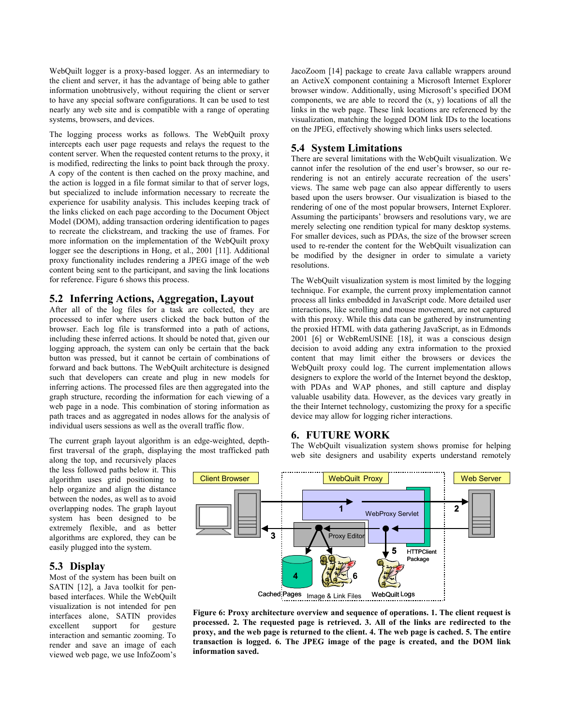WebQuilt logger is a proxy-based logger. As an intermediary to the client and server, it has the advantage of being able to gather information unobtrusively, without requiring the client or server to have any special software configurations. It can be used to test nearly any web site and is compatible with a range of operating systems, browsers, and devices.

The logging process works as follows. The WebQuilt proxy intercepts each user page requests and relays the request to the content server. When the requested content returns to the proxy, it is modified, redirecting the links to point back through the proxy. A copy of the content is then cached on the proxy machine, and the action is logged in a file format similar to that of server logs, but specialized to include information necessary to recreate the experience for usability analysis. This includes keeping track of the links clicked on each page according to the Document Object Model (DOM), adding transaction ordering identification to pages to recreate the clickstream, and tracking the use of frames. For more information on the implementation of the WebQuilt proxy logger see the descriptions in Hong, et al., 2001 [11]. Additional proxy functionality includes rendering a JPEG image of the web content being sent to the participant, and saving the link locations for reference. Figure 6 shows this process.

#### **5.2 Inferring Actions, Aggregation, Layout**

After all of the log files for a task are collected, they are processed to infer where users clicked the back button of the browser. Each log file is transformed into a path of actions, including these inferred actions. It should be noted that, given our logging approach, the system can only be certain that the back button was pressed, but it cannot be certain of combinations of forward and back buttons. The WebQuilt architecture is designed such that developers can create and plug in new models for inferring actions. The processed files are then aggregated into the graph structure, recording the information for each viewing of a web page in a node. This combination of storing information as path traces and as aggregated in nodes allows for the analysis of individual users sessions as well as the overall traffic flow.

The current graph layout algorithm is an edge-weighted, depthfirst traversal of the graph, displaying the most trafficked path JacoZoom [14] package to create Java callable wrappers around an ActiveX component containing a Microsoft Internet Explorer browser window. Additionally, using Microsoft's specified DOM components, we are able to record the  $(x, y)$  locations of all the links in the web page. These link locations are referenced by the visualization, matching the logged DOM link IDs to the locations on the JPEG, effectively showing which links users selected.

## **5.4 System Limitations**

There are several limitations with the WebQuilt visualization. We cannot infer the resolution of the end user's browser, so our rerendering is not an entirely accurate recreation of the users' views. The same web page can also appear differently to users based upon the users browser. Our visualization is biased to the rendering of one of the most popular browsers, Internet Explorer. Assuming the participants' browsers and resolutions vary, we are merely selecting one rendition typical for many desktop systems. For smaller devices, such as PDAs, the size of the browser screen used to re-render the content for the WebQuilt visualization can be modified by the designer in order to simulate a variety resolutions.

The WebQuilt visualization system is most limited by the logging technique. For example, the current proxy implementation cannot process all links embedded in JavaScript code. More detailed user interactions, like scrolling and mouse movement, are not captured with this proxy. While this data can be gathered by instrumenting the proxied HTML with data gathering JavaScript, as in Edmonds 2001 [6] or WebRemUSINE [18], it was a conscious design decision to avoid adding any extra information to the proxied content that may limit either the browsers or devices the WebQuilt proxy could log. The current implementation allows designers to explore the world of the Internet beyond the desktop, with PDAs and WAP phones, and still capture and display valuable usability data. However, as the devices vary greatly in the their Internet technology, customizing the proxy for a specific device may allow for logging richer interactions.

## **6. FUTURE WORK**

The WebQuilt visualization system shows promise for helping web site designers and usability experts understand remotely

along the top, and recursively places the less followed paths below it. This algorithm uses grid positioning to help organize and align the distance between the nodes, as well as to avoid overlapping nodes. The graph layout system has been designed to be extremely flexible, and as better algorithms are explored, they can be easily plugged into the system.

## **5.3 Display**

Most of the system has been built on SATIN [12], a Java toolkit for penbased interfaces. While the WebQuilt visualization is not intended for pen interfaces alone, SATIN provides excellent support for gesture interaction and semantic zooming. To render and save an image of each viewed web page, we use InfoZoom's



**Figure 6: Proxy architecture overview and sequence of operations. 1. The client request is processed. 2. The requested page is retrieved. 3. All of the links are redirected to the proxy, and the web page is returned to the client. 4. The web page is cached. 5. The entire transaction is logged. 6. The JPEG image of the page is created, and the DOM link information saved.**